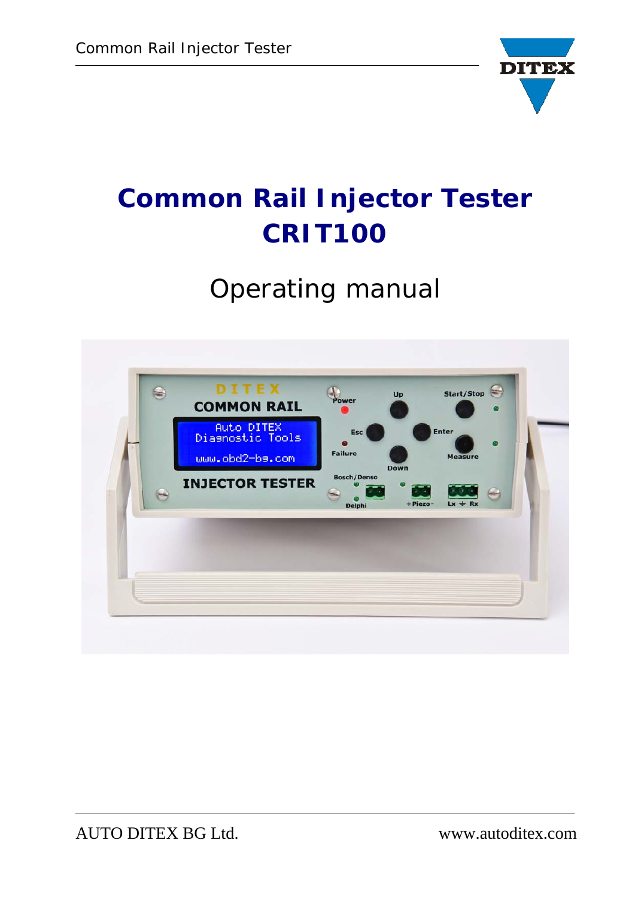

# **Common Rail Injector Tester CRIT100**

## *Operating manual*

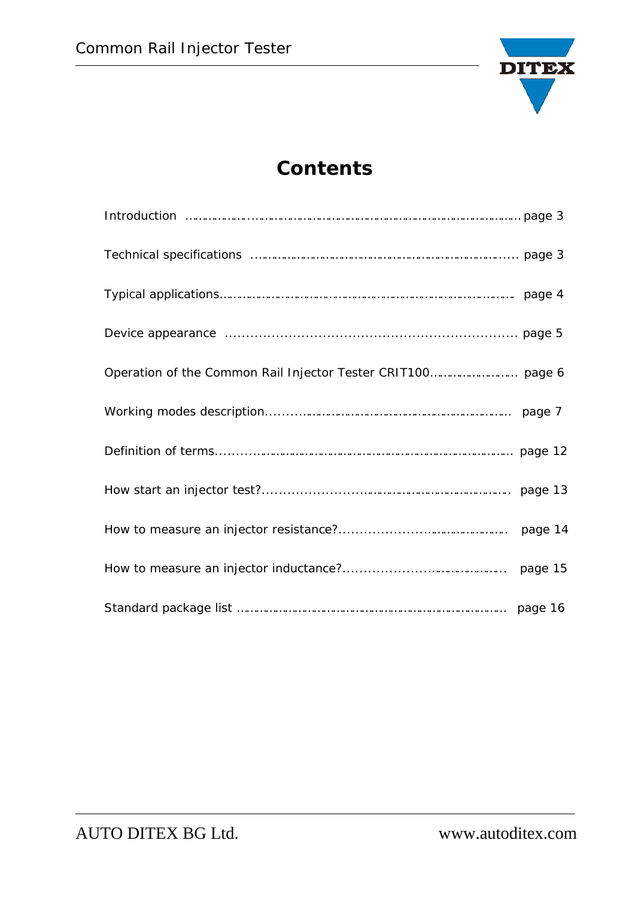

## **Contents**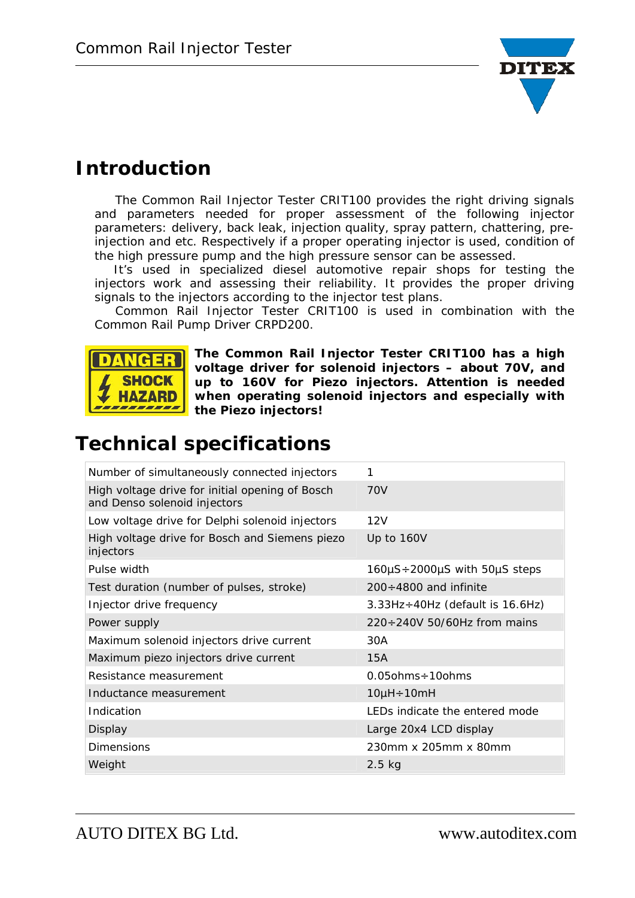

## **Introduction**

 The Common Rail Injector Tester CRIT100 provides the right driving signals and parameters needed for proper assessment of the following injector parameters: delivery, back leak, injection quality, spray pattern, chattering, preinjection and etc. Respectively if a proper operating injector is used, condition of the high pressure pump and the high pressure sensor can be assessed.

It's used in specialized diesel automotive repair shops for testing the injectors work and assessing their reliability. It provides the proper driving signals to the injectors according to the injector test plans.

 Common Rail Injector Tester CRIT100 is used in combination with the Common Rail Pump Driver CRPD200.



**The Common Rail Injector Tester CRIT100 has a high voltage driver for solenoid injectors – about 70V, and up to 160V for Piezo injectors. Attention is needed when operating solenoid injectors and especially with the Piezo injectors!** 

## **Technical specifications**

| Number of simultaneously connected injectors                                    | 1                                                 |
|---------------------------------------------------------------------------------|---------------------------------------------------|
| High voltage drive for initial opening of Bosch<br>and Denso solenoid injectors | 70V                                               |
| Low voltage drive for Delphi solenoid injectors                                 | 12V                                               |
| High voltage drive for Bosch and Siemens piezo<br>injectors                     | Up to 160V                                        |
| Pulse width                                                                     | $160 \mu S \div 2000 \mu S$ with $50 \mu S$ steps |
| Test duration (number of pulses, stroke)                                        | $200 \div 4800$ and infinite                      |
| Injector drive frequency                                                        | $3.33Hz \div 40Hz$ (default is 16.6Hz)            |
| Power supply                                                                    | $220 \div 240V$ 50/60Hz from mains                |
| Maximum solenoid injectors drive current                                        | 30A                                               |
| Maximum piezo injectors drive current                                           | 15A                                               |
| Resistance measurement                                                          | $0.05$ ohms $\div$ 10ohms                         |
| Inductance measurement                                                          | $10\mu H \div 10mH$                               |
| Indication                                                                      | LEDs indicate the entered mode                    |
| Display                                                                         | Large 20x4 LCD display                            |
| Dimensions                                                                      | 230mm x 205mm x 80mm                              |
| Weight                                                                          | $2.5$ kg                                          |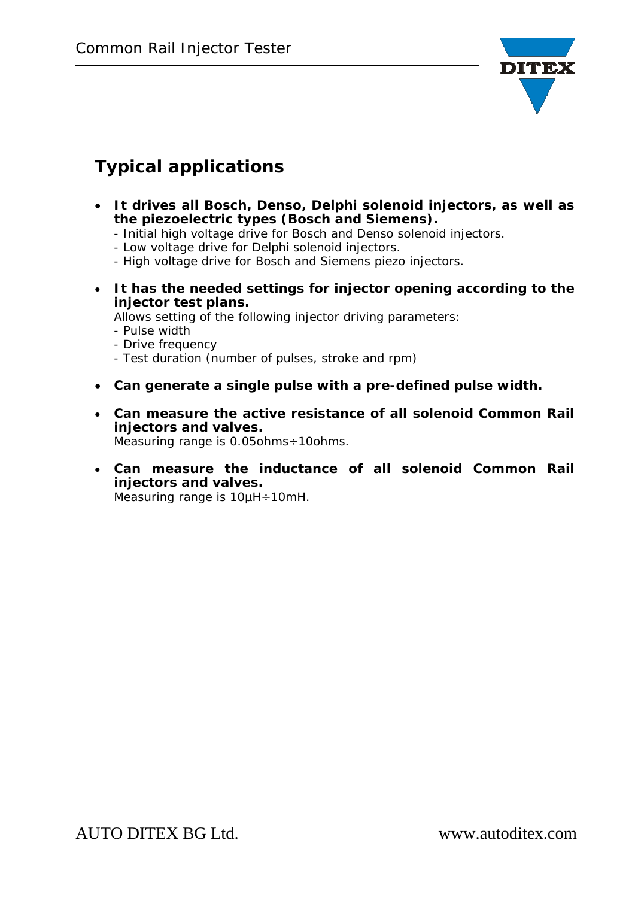

## **Typical applications**

- **It drives all Bosch, Denso, Delphi solenoid injectors, as well as the piezoelectric types (Bosch and Siemens).** 
	- Initial high voltage drive for Bosch and Denso solenoid injectors.
	- Low voltage drive for Delphi solenoid injectors.
	- High voltage drive for Bosch and Siemens piezo injectors.
- **It has the needed settings for injector opening according to the injector test plans.**

Allows setting of the following injector driving parameters:

- Pulse width
- Drive frequency
- Test duration (number of pulses, stroke and rpm)
- **Can generate a single pulse with a pre-defined pulse width.**
- **Can measure the active resistance of all solenoid Common Rail injectors and valves.** Measuring range is 0.05ohms÷10ohms.
- **Can measure the inductance of all solenoid Common Rail injectors and valves.** Measuring range is 10µH÷10mH.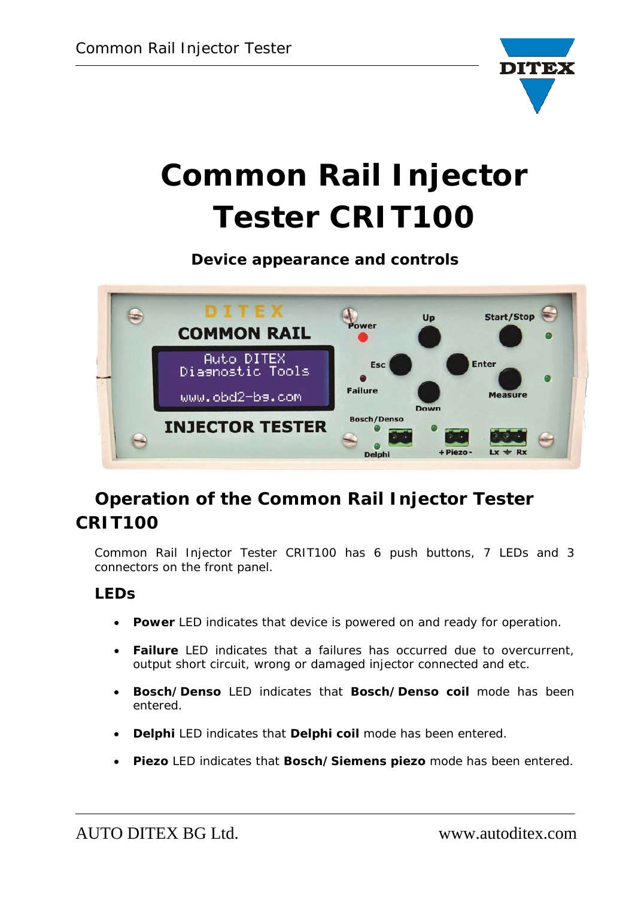

# **Common Rail Injector Tester CRIT100**

**Device appearance and controls** 



## **Operation of the Common Rail Injector Tester CRIT100**

Common Rail Injector Tester CRIT100 has 6 push buttons, 7 LEDs and 3 connectors on the front panel.

#### **LEDs**

- **Power** LED indicates that device is powered on and ready for operation.
- **Failure** LED indicates that a failures has occurred due to overcurrent, output short circuit, wrong or damaged injector connected and etc.
- **Bosch/Denso** LED indicates that **Bosch/Denso coil** mode has been entered.
- **Delphi** LED indicates that **Delphi coil** mode has been entered.
- **Piezo** LED indicates that **Bosch/Siemens piezo** mode has been entered.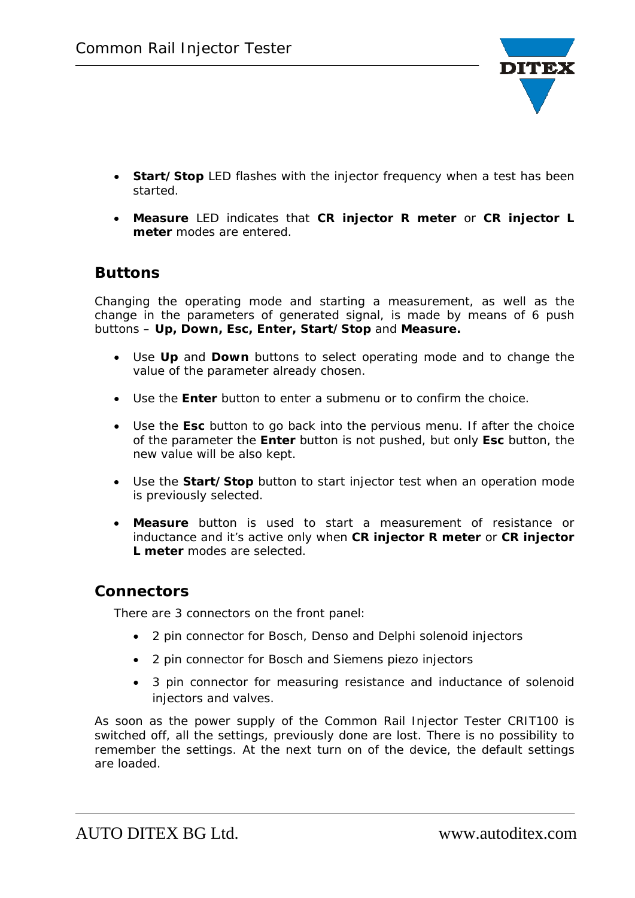

- **Start/Stop** LED flashes with the injector frequency when a test has been started.
- **Measure** LED indicates that **CR injector R meter** or **CR injector L meter** modes are entered.

#### **Buttons**

Changing the operating mode and starting a measurement, as well as the change in the parameters of generated signal, is made by means of 6 push buttons – **Up, Down, Esc, Enter, Start/Stop** and **Measure.** 

- Use **Up** and **Down** buttons to select operating mode and to change the value of the parameter already chosen.
- Use the **Enter** button to enter a submenu or to confirm the choice.
- Use the **Esc** button to go back into the pervious menu. If after the choice of the parameter the **Enter** button is not pushed, but only **Esc** button, the new value will be also kept.
- Use the **Start/Stop** button to start injector test when an operation mode is previously selected.
- **Measure** button is used to start a measurement of resistance or inductance and it's active only when **CR injector R meter** or **CR injector L meter** modes are selected.

#### **Connectors**

There are 3 connectors on the front panel:

- 2 pin connector for Bosch, Denso and Delphi solenoid injectors
- 2 pin connector for Bosch and Siemens piezo injectors
- 3 pin connector for measuring resistance and inductance of solenoid injectors and valves.

As soon as the power supply of the Common Rail Injector Tester CRIT100 is switched off, all the settings, previously done are lost. There is no possibility to remember the settings. At the next turn on of the device, the default settings are loaded.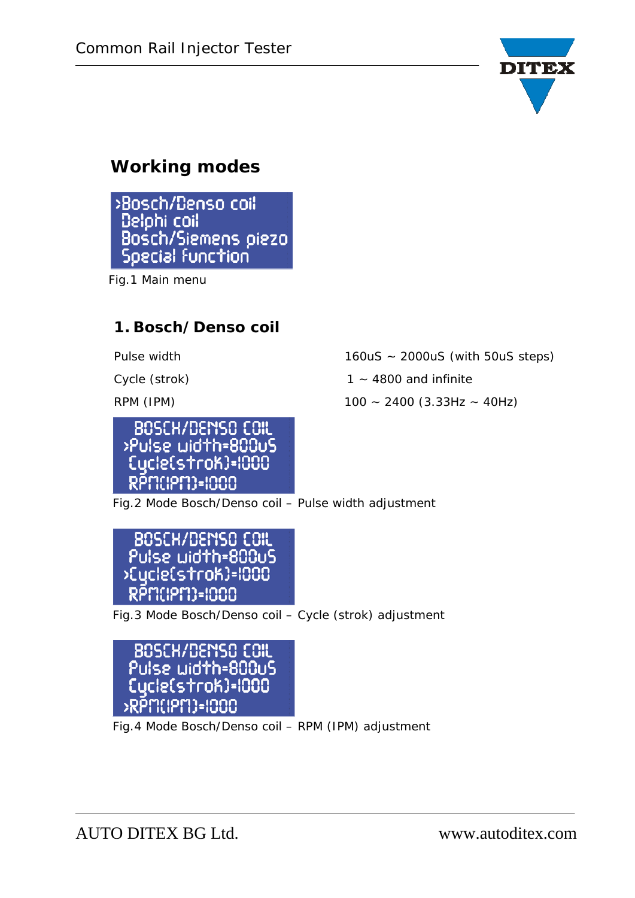

## **Working modes**

>Bosch/Denso coil Delphi coil Bosch/Siemens piezo Special function

Fig.1 Main menu

#### **1. Bosch/Denso coil**



Pulse width 160uS ~ 2000uS (with 50uS steps)

Cycle (strok)  $1 - 4800$  and infinite

RPM (IPM) 100 ~ 2400 (3.33Hz ~ 40Hz)

Fig.2 Mode Bosch/Denso coil – Pulse width adjustment

BOSCH/DENSO COIL Pulse width=800uS >Eycle(strok)=1000 RPM(PM)=1000

Fig.3 Mode Bosch/Denso coil – Cycle (strok) adjustment

BOSCH/DEMSO COIL Pulse width=800uS Cucle(strok)=1000 RPMIPMI-INNO

Fig.4 Mode Bosch/Denso coil – RPM (IPM) adjustment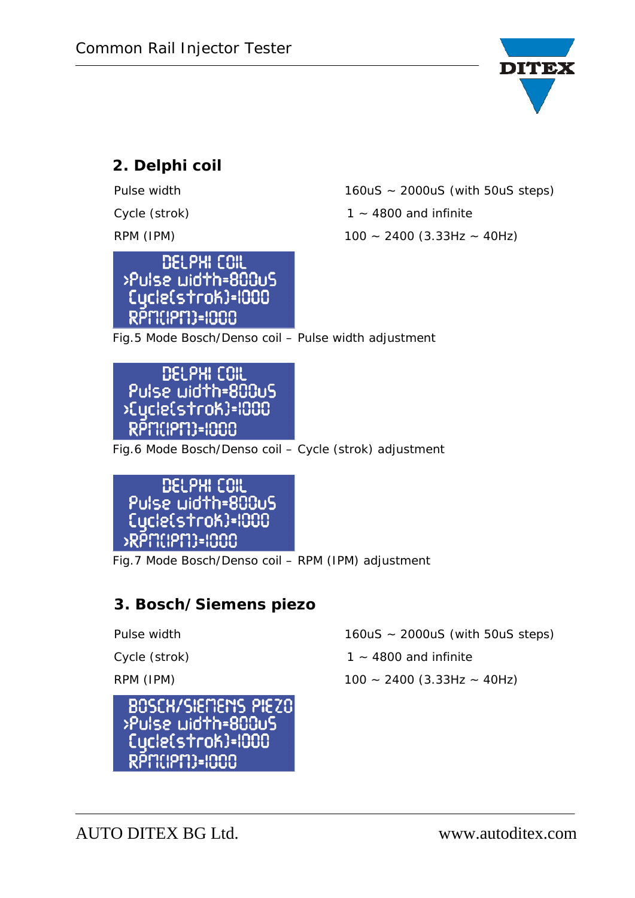

#### **2. Delphi coil**



Pulse width 160uS ~ 2000uS (with 50uS steps)

Cycle (strok)  $1 - 4800$  and infinite

RPM (IPM) 100 ~ 2400 (3.33Hz ~ 40Hz)

Fig.5 Mode Bosch/Denso coil – Pulse width adjustment

DELPHI COIL Pulse width=800uS >Eycle(stroK)=1000 RPM(PM)=1000

Fig.6 Mode Bosch/Denso coil – Cycle (strok) adjustment



Fig.7 Mode Bosch/Denso coil – RPM (IPM) adjustment

#### **3. Bosch/Siemens piezo**



Pulse width 160uS ~ 2000uS (with 50uS steps)

Cycle (strok)  $1 - 4800$  and infinite

RPM (IPM) 100 ~ 2400 (3.33Hz ~ 40Hz)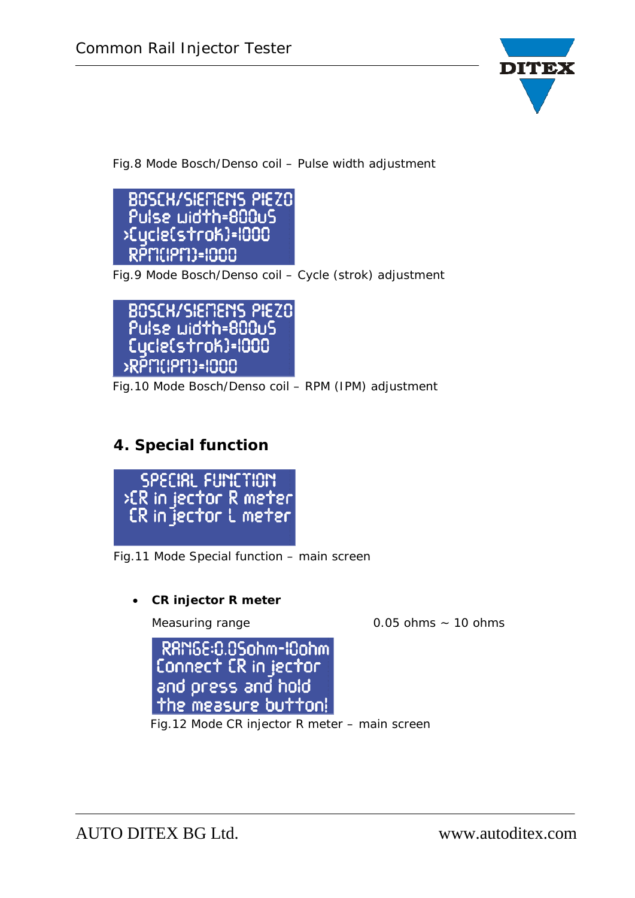

Fig.8 Mode Bosch/Denso coil – Pulse width adjustment

**BOSCH/SIEMEMS PIEZO** Pulse width=800uS >Eycle(strok)=1000 RPM(PM)=1000

Fig.9 Mode Bosch/Denso coil – Cycle (strok) adjustment



Fig.10 Mode Bosch/Denso coil – RPM (IPM) adjustment

#### **4. Special function**



Fig.11 Mode Special function – main screen

**CR injector R meter** 

Measuring range 0.05 ohms ~ 10 ohms

RAM6E:0.05ohm-I0ohm Connect CR in jector and press and hold the measure button!

Fig.12 Mode CR injector R meter – main screen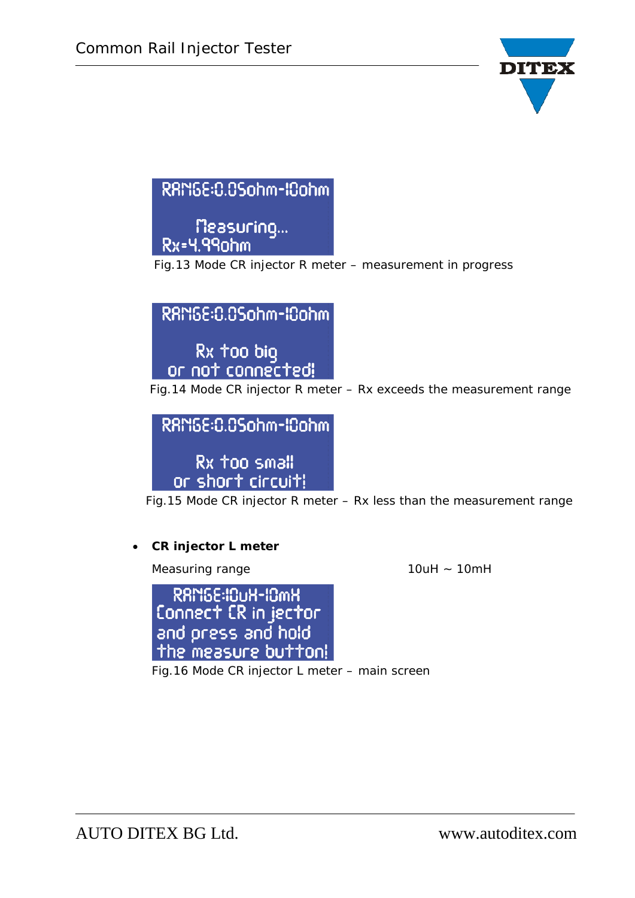

## RAM6E:0.05ohm-I0ohm

measuring...<br>Rx=4.99ohm

Fig.13 Mode CR injector R meter – measurement in progress



Fig.14 Mode CR injector R meter – Rx exceeds the measurement range



Fig.15 Mode CR injector R meter – Rx less than the measurement range

#### **CR injector L meter**

Measuring range 10uH ~ 10mH

RAMSE:IOUH-IOMH Connect CR in jector<br>and press and hold the measure button!

Fig.16 Mode CR injector L meter – main screen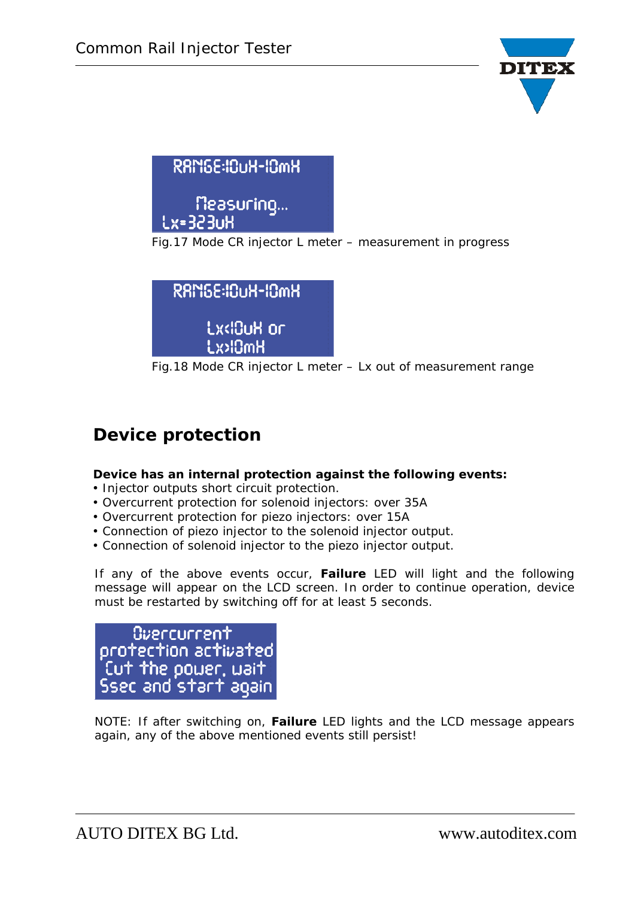

| <b>RAMGE:IOUH-IOMH</b>         |  |
|--------------------------------|--|
| Measuring<br> Lx=323u <u>H</u> |  |

Fig.17 Mode CR injector L meter – measurement in progress

| RAM6E:10uH-10mH                         |   |
|-----------------------------------------|---|
| Lx<10uX or                              |   |
| HmOkxJ                                  |   |
| $\Gamma$ : 40 Mede CD is esterly rester | . |

Fig.18 Mode CR injector L meter – Lx out of measurement range

## **Device protection**

#### **Device has an internal protection against the following events:**

- Injector outputs short circuit protection.
- Overcurrent protection for solenoid injectors: over 35A
- Overcurrent protection for piezo injectors: over 15A
- Connection of piezo injector to the solenoid injector output.
- Connection of solenoid injector to the piezo injector output.

If any of the above events occur, **Failure** LED will light and the following message will appear on the LCD screen. In order to continue operation, device must be restarted by switching off for at least 5 seconds.



NOTE: If after switching on, **Failure** LED lights and the LCD message appears again, any of the above mentioned events still persist!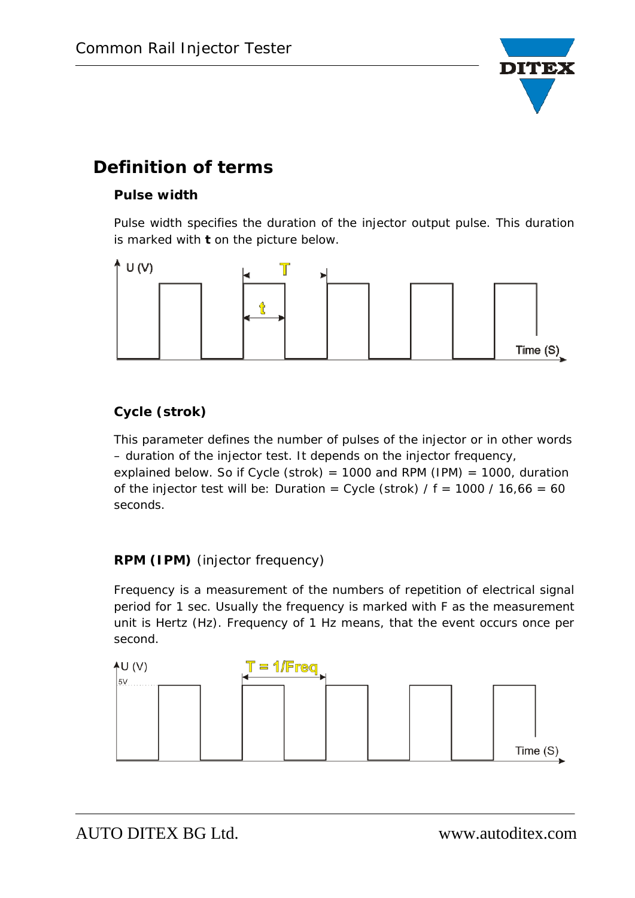

## **Definition of terms**

#### **Pulse width**

Pulse width specifies the duration of the injector output pulse. This duration is marked with **t** on the picture below.



#### **Cycle (strok)**

This parameter defines the number of pulses of the injector or in other words – duration of the injector test. It depends on the injector frequency,

explained below. So if Cycle (strok) = 1000 and RPM (IPM) = 1000, duration of the injector test will be: Duration = Cycle (strok)  $/ f = 1000 / 16,66 = 60$ seconds.

#### **RPM (IPM)** (injector frequency)

Frequency is a measurement of the numbers of repetition of electrical signal period for 1 sec. Usually the frequency is marked with F as the measurement unit is Hertz (Hz). Frequency of 1 Hz means, that the event occurs once per second.

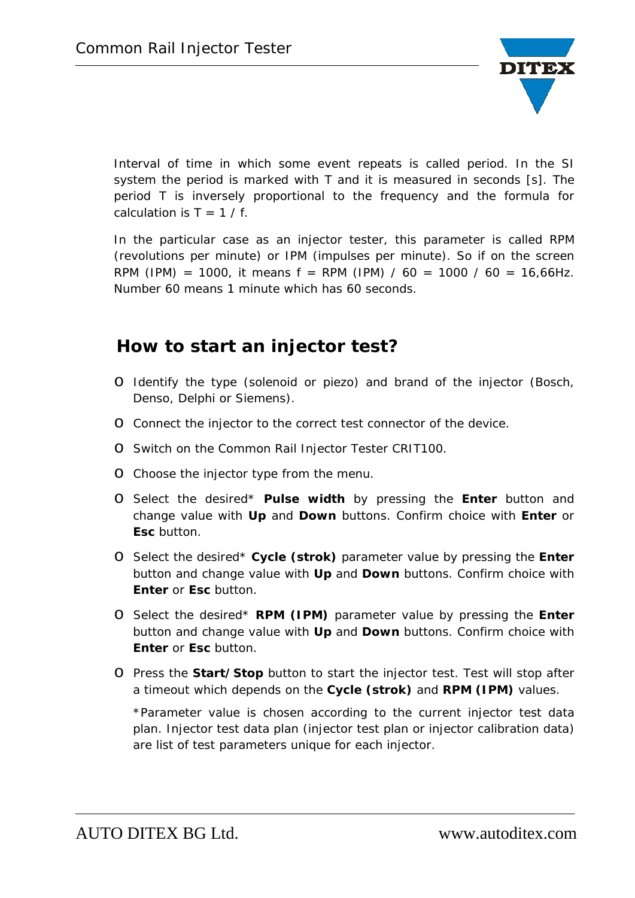

Interval of time in which some event repeats is called period. In the SI system the period is marked with T and it is measured in seconds [s]. The period T is inversely proportional to the frequency and the formula for calculation is  $T = 1 / f$ .

In the particular case as an injector tester, this parameter is called RPM (revolutions per minute) or IPM (impulses per minute). So if on the screen RPM (IPM) = 1000, it means  $f = RPM$  (IPM) / 60 = 1000 / 60 = 16,66Hz. Number 60 means 1 minute which has 60 seconds.

### **How to start an injector test?**

- o Identify the type (solenoid or piezo) and brand of the injector (Bosch, Denso, Delphi or Siemens).
- o Connect the injector to the correct test connector of the device.
- o Switch on the Common Rail Injector Tester CRIT100.
- o Choose the injector type from the menu.
- o Select the desired\* **Pulse width** by pressing the **Enter** button and change value with **Up** and **Down** buttons. Confirm choice with **Enter** or **Esc** button.
- o Select the desired\* **Cycle (strok)** parameter value by pressing the **Enter** button and change value with **Up** and **Down** buttons. Confirm choice with **Enter** or **Esc** button.
- o Select the desired\* **RPM (IPM)** parameter value by pressing the **Enter** button and change value with **Up** and **Down** buttons. Confirm choice with **Enter** or **Esc** button.
- o Press the **Start/Stop** button to start the injector test. Test will stop after a timeout which depends on the **Cycle (strok)** and **RPM (IPM)** values.

\*Parameter value is chosen according to the current injector test data plan. Injector test data plan (injector test plan or injector calibration data) are list of test parameters unique for each injector.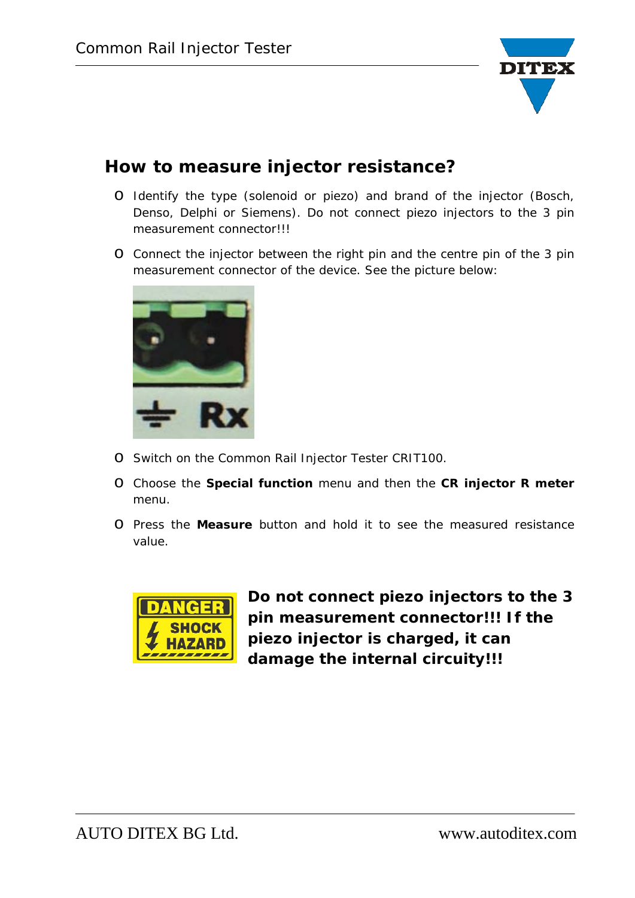

## **How to measure injector resistance?**

- o Identify the type (solenoid or piezo) and brand of the injector (Bosch, Denso, Delphi or Siemens). Do not connect piezo injectors to the 3 pin measurement connector!!!
- o Connect the injector between the right pin and the centre pin of the 3 pin measurement connector of the device. See the picture below:



- o Switch on the Common Rail Injector Tester CRIT100.
- o Choose the **Special function** menu and then the **CR injector R meter** menu.
- o Press the **Measure** button and hold it to see the measured resistance value.



**Do not connect piezo injectors to the 3 pin measurement connector!!! If the piezo injector is charged, it can damage the internal circuity!!!**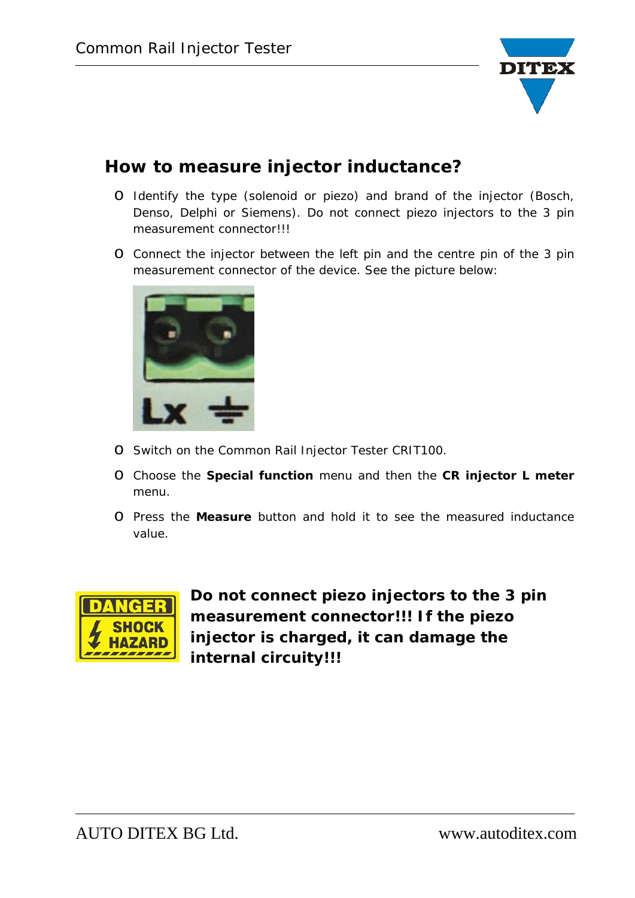

## **How to measure injector inductance?**

- o Identify the type (solenoid or piezo) and brand of the injector (Bosch, Denso, Delphi or Siemens). Do not connect piezo injectors to the 3 pin measurement connector!!!
- o Connect the injector between the left pin and the centre pin of the 3 pin measurement connector of the device. See the picture below:



- o Switch on the Common Rail Injector Tester CRIT100.
- o Choose the **Special function** menu and then the **CR injector L meter** menu.
- o Press the **Measure** button and hold it to see the measured inductance value.



**Do not connect piezo injectors to the 3 pin measurement connector!!! If the piezo injector is charged, it can damage the internal circuity!!!**